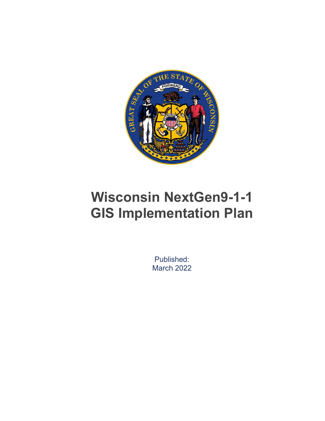

# **Wisconsin NextGen9-1-1 GIS Implementation Plan**

Published: March 2022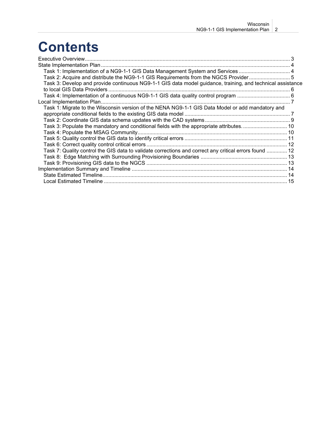# **Contents**

| Task 1: Implementation of a NG9-1-1 GIS Data Management System and Services  4                             |  |
|------------------------------------------------------------------------------------------------------------|--|
| Task 2: Acquire and distribute the NG9-1-1 GIS Requirements from the NGCS Provider5                        |  |
| Task 3: Develop and provide continuous NG9-1-1 GIS data model guidance, training, and technical assistance |  |
|                                                                                                            |  |
|                                                                                                            |  |
|                                                                                                            |  |
| Task 1: Migrate to the Wisconsin version of the NENA NG9-1-1 GIS Data Model or add mandatory and           |  |
|                                                                                                            |  |
|                                                                                                            |  |
| Task 3: Populate the mandatory and conditional fields with the appropriate attributes 10                   |  |
|                                                                                                            |  |
|                                                                                                            |  |
|                                                                                                            |  |
| Task 7: Quality control the GIS data to validate corrections and correct any critical errors found  12     |  |
|                                                                                                            |  |
|                                                                                                            |  |
|                                                                                                            |  |
|                                                                                                            |  |
|                                                                                                            |  |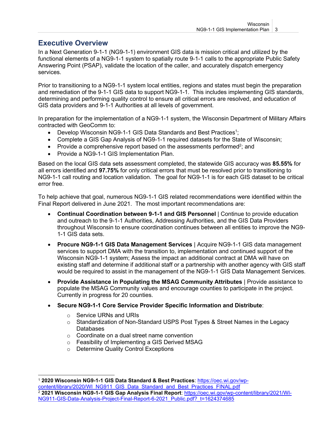# <span id="page-2-0"></span>**Executive Overview**

In a Next Generation 9-1-1 (NG9-1-1) environment GIS data is mission critical and utilized by the functional elements of a NG9-1-1 system to spatially route 9-1-1 calls to the appropriate Public Safety Answering Point (PSAP), validate the location of the caller, and accurately dispatch emergency services.

Prior to transitioning to a NG9-1-1 system local entities, regions and states must begin the preparation and remediation of the 9-1-1 GIS data to support NG9-1-1. This includes implementing GIS standards, determining and performing quality control to ensure all critical errors are resolved, and education of GIS data providers and 9-1-1 Authorities at all levels of government.

In preparation for the implementation of a NG9-1-1 system, the Wisconsin Department of Military Affairs contracted with GeoComm to:

- Develop Wisconsin NG9-1-1 GIS Data Standards and Best Practices<sup>1</sup>;
- Complete a GIS Gap Analysis of NG9-1-1 required datasets for the State of Wisconsin;
- Provide a comprehensive report based on the assessments performed<sup>2</sup>; and
- Provide a NG9-1-1 GIS Implementation Plan.

Based on the local GIS data sets assessment completed, the statewide GIS accuracy was **85.55%** for all errors identified and **97.75%** for only critical errors that must be resolved prior to transitioning to NG9-1-1 call routing and location validation. The goal for NG9-1-1 is for each GIS dataset to be critical error free.

To help achieve that goal, numerous NG9-1-1 GIS related recommendations were identified within the Final Report delivered in June 2021. The most important recommendations are:

- **Continual Coordination between 9-1-1 and GIS Personnel** | Continue to provide education and outreach to the 9-1-1 Authorities, Addressing Authorities, and the GIS Data Providers throughout Wisconsin to ensure coordination continues between all entities to improve the NG9- 1-1 GIS data sets.
- **Procure NG9-1-1 GIS Data Management Services** | Acquire NG9-1-1 GIS data management services to support DMA with the transition to, implementation and continued support of the Wisconsin NG9-1-1 system; Assess the impact an additional contract at DMA will have on existing staff and determine if additional staff or a partnership with another agency with GIS staff would be required to assist in the management of the NG9-1-1 GIS Data Management Services.
- **Provide Assistance in Populating the MSAG Community Attributes** | Provide assistance to populate the MSAG Community values and encourage counties to participate in the project. Currently in progress for 20 counties.
- **Secure NG9-1-1 Core Service Provider Specific Information and Distribute**:
	- o Service URNs and URIs
	- $\circ$  Standardization of Non-Standard USPS Post Types & Street Names in the Legacy Databases
	- o Coordinate on a dual street name convention
	- o Feasibility of Implementing a GIS Derived MSAG
	- o Determine Quality Control Exceptions

<sup>1</sup> **2020 Wisconsin NG9-1-1 GIS Data Standard & Best Practices**: [https://oec.wi.gov/wp-](https://oec.wi.gov/wp-content/library/2020/WI_NG911_GIS_Data_Standard_and_Best_Practices_FINAL.pdf)

[content/library/2020/WI\\_NG911\\_GIS\\_Data\\_Standard\\_and\\_Best\\_Practices\\_FINAL.pdf](https://oec.wi.gov/wp-content/library/2020/WI_NG911_GIS_Data_Standard_and_Best_Practices_FINAL.pdf) <sup>2</sup> **2021 Wisconsin NG9-1-1 GIS Gap Analysis Final Report**: [https://oec.wi.gov/wp-content/library/2021/WI-](https://oec.wi.gov/wp-content/library/2021/WI-NG911-GIS-Data-Analysis-Project-Final-Report-6-2021_Public.pdf?_t=1624374685)[NG911-GIS-Data-Analysis-Project-Final-Report-6-2021\\_Public.pdf?\\_t=1624374685](https://oec.wi.gov/wp-content/library/2021/WI-NG911-GIS-Data-Analysis-Project-Final-Report-6-2021_Public.pdf?_t=1624374685)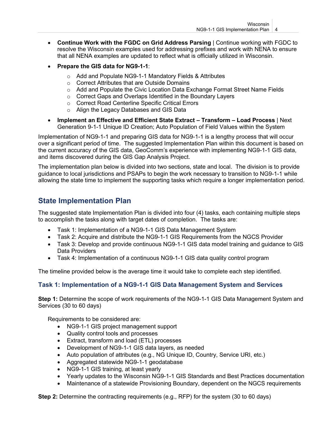- **Continue Work with the FGDC on Grid Address Parsing** | Continue working with FGDC to resolve the Wisconsin examples used for addressing prefixes and work with NENA to ensure that all NENA examples are updated to reflect what is officially utilized in Wisconsin.
- **Prepare the GIS data for NG9-1-1**:
	- o Add and Populate NG9-1-1 Mandatory Fields & Attributes
	- o Correct Attributes that are Outside Domains
	- $\circ$  Add and Populate the Civic Location Data Exchange Format Street Name Fields
	- o Correct Gaps and Overlaps Identified in the Boundary Layers
	- o Correct Road Centerline Specific Critical Errors
	- o Align the Legacy Databases and GIS Data
- **Implement an Effective and Efficient State Extract – Transform – Load Process** | Next Generation 9-1-1 Unique ID Creation; Auto Population of Field Values within the System

Implementation of NG9-1-1 and preparing GIS data for NG9-1-1 is a lengthy process that will occur over a significant period of time. The suggested Implementation Plan within this document is based on the current accuracy of the GIS data, GeoComm's experience with implementing NG9-1-1 GIS data, and items discovered during the GIS Gap Analysis Project.

The implementation plan below is divided into two sections, state and local. The division is to provide guidance to local jurisdictions and PSAPs to begin the work necessary to transition to NG9-1-1 while allowing the state time to implement the supporting tasks which require a longer implementation period.

# <span id="page-3-0"></span>**State Implementation Plan**

The suggested state Implementation Plan is divided into four (4) tasks, each containing multiple steps to accomplish the tasks along with target dates of completion. The tasks are:

- Task 1: Implementation of a NG9-1-1 GIS Data Management System
- Task 2: Acquire and distribute the NG9-1-1 GIS Requirements from the NGCS Provider
- Task 3: Develop and provide continuous NG9-1-1 GIS data model training and guidance to GIS Data Providers
- Task 4: Implementation of a continuous NG9-1-1 GIS data quality control program

The timeline provided below is the average time it would take to complete each step identified.

## <span id="page-3-1"></span>**Task 1: Implementation of a NG9-1-1 GIS Data Management System and Services**

**Step 1:** Determine the scope of work requirements of the NG9-1-1 GIS Data Management System and Services (30 to 60 days)

Requirements to be considered are:

- NG9-1-1 GIS project management support
- Quality control tools and processes
- Extract, transform and load (ETL) processes
- Development of NG9-1-1 GIS data layers, as needed
- Auto population of attributes (e.g., NG Unique ID, Country, Service URI, etc.)
- Aggregated statewide NG9-1-1 geodatabase
- NG9-1-1 GIS training, at least yearly
- Yearly updates to the Wisconsin NG9-1-1 GIS Standards and Best Practices documentation
- Maintenance of a statewide Provisioning Boundary, dependent on the NGCS requirements

**Step 2:** Determine the contracting requirements (e.g., RFP) for the system (30 to 60 days)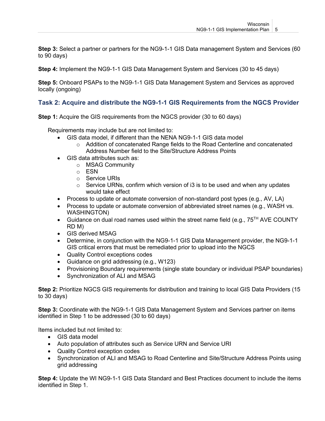**Step 3:** Select a partner or partners for the NG9-1-1 GIS Data management System and Services (60 to 90 days)

**Step 4:** Implement the NG9-1-1 GIS Data Management System and Services (30 to 45 days)

**Step 5:** Onboard PSAPs to the NG9-1-1 GIS Data Management System and Services as approved locally (ongoing)

#### <span id="page-4-0"></span>**Task 2: Acquire and distribute the NG9-1-1 GIS Requirements from the NGCS Provider**

**Step 1:** Acquire the GIS requirements from the NGCS provider (30 to 60 days)

Requirements may include but are not limited to:

- GIS data model, if different than the NENA NG9-1-1 GIS data model
	- o Addition of concatenated Range fields to the Road Centerline and concatenated Address Number field to the Site/Structure Address Points
- GIS data attributes such as:
	- o MSAG Community
		- o ESN
		- o Service URIs
		- $\circ$  Service URNs, confirm which version of i3 is to be used and when any updates would take effect
- Process to update or automate conversion of non-standard post types (e.g., AV, LA)
- Process to update or automate conversion of abbreviated street names (e.g., WASH vs. WASHINGTON)
- Guidance on dual road names used within the street name field (e.g.,  $75^{TH}$  AVE COUNTY RD M)
- GIS derived MSAG
- Determine, in conjunction with the NG9-1-1 GIS Data Management provider, the NG9-1-1 GIS critical errors that must be remediated prior to upload into the NGCS
- Quality Control exceptions codes
- Guidance on grid addressing (e.g., W123)
- Provisioning Boundary requirements (single state boundary or individual PSAP boundaries)
- Synchronization of ALI and MSAG

**Step 2:** Prioritize NGCS GIS requirements for distribution and training to local GIS Data Providers (15 to 30 days)

**Step 3:** Coordinate with the NG9-1-1 GIS Data Management System and Services partner on items identified in Step 1 to be addressed (30 to 60 days)

Items included but not limited to:

- GIS data model
- Auto population of attributes such as Service URN and Service URI
- Quality Control exception codes
- Synchronization of ALI and MSAG to Road Centerline and Site/Structure Address Points using grid addressing

**Step 4:** Update the WI NG9-1-1 GIS Data Standard and Best Practices document to include the items identified in Step 1.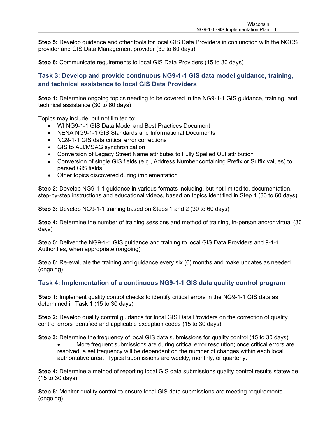**Step 5:** Develop guidance and other tools for local GIS Data Providers in conjunction with the NGCS provider and GIS Data Management provider (30 to 60 days)

**Step 6:** Communicate requirements to local GIS Data Providers (15 to 30 days)

## <span id="page-5-0"></span>**Task 3: Develop and provide continuous NG9-1-1 GIS data model guidance, training, and technical assistance to local GIS Data Providers**

**Step 1:** Determine ongoing topics needing to be covered in the NG9-1-1 GIS guidance, training, and technical assistance (30 to 60 days)

Topics may include, but not limited to:

- WI NG9-1-1 GIS Data Model and Best Practices Document
- NENA NG9-1-1 GIS Standards and Informational Documents
- NG9-1-1 GIS data critical error corrections
- GIS to ALI/MSAG synchronization
- Conversion of Legacy Street Name attributes to Fully Spelled Out attribution
- Conversion of single GIS fields (e.g., Address Number containing Prefix or Suffix values) to parsed GIS fields
- Other topics discovered during implementation

**Step 2:** Develop NG9-1-1 guidance in various formats including, but not limited to, documentation, step-by-step instructions and educational videos, based on topics identified in Step 1 (30 to 60 days)

**Step 3:** Develop NG9-1-1 training based on Steps 1 and 2 (30 to 60 days)

**Step 4:** Determine the number of training sessions and method of training, in-person and/or virtual (30 days)

**Step 5:** Deliver the NG9-1-1 GIS guidance and training to local GIS Data Providers and 9-1-1 Authorities, when appropriate (ongoing)

**Step 6:** Re-evaluate the training and guidance every six (6) months and make updates as needed (ongoing)

#### <span id="page-5-1"></span>**Task 4: Implementation of a continuous NG9-1-1 GIS data quality control program**

**Step 1:** Implement quality control checks to identify critical errors in the NG9-1-1 GIS data as determined in Task 1 (15 to 30 days)

**Step 2:** Develop quality control guidance for local GIS Data Providers on the correction of quality control errors identified and applicable exception codes (15 to 30 days)

**Step 3:** Determine the frequency of local GIS data submissions for quality control (15 to 30 days)

• More frequent submissions are during critical error resolution; once critical errors are resolved, a set frequency will be dependent on the number of changes within each local authoritative area. Typical submissions are weekly, monthly, or quarterly.

**Step 4:** Determine a method of reporting local GIS data submissions quality control results statewide (15 to 30 days)

**Step 5:** Monitor quality control to ensure local GIS data submissions are meeting requirements (ongoing)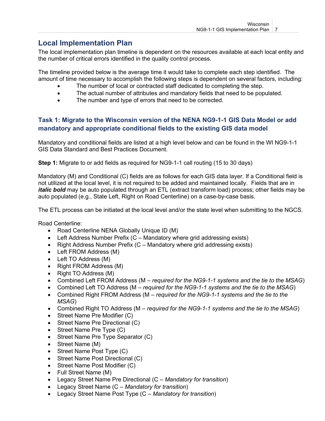# <span id="page-6-0"></span>**Local Implementation Plan**

The local implementation plan timeline is dependent on the resources available at each local entity and the number of critical errors identified in the quality control process.

The timeline provided below is the average time it would take to complete each step identified. The amount of time necessary to accomplish the following steps is dependent on several factors, including:

- The number of local or contracted staff dedicated to completing the step.
- The actual number of attributes and mandatory fields that need to be populated.
- The number and type of errors that need to be corrected.

## <span id="page-6-1"></span>**Task 1: Migrate to the Wisconsin version of the NENA NG9-1-1 GIS Data Model or add mandatory and appropriate conditional fields to the existing GIS data model**

Mandatory and conditional fields are listed at a high level below and can be found in the WI NG9-1-1 GIS Data Standard and Best Practices Document.

**Step 1:** Migrate to or add fields as required for NG9-1-1 call routing (15 to 30 days)

Mandatory (M) and Conditional (C) fields are as follows for each GIS data layer. If a Conditional field is not utilized at the local level, it is not required to be added and maintained locally. Fields that are in *italic bold* may be auto populated through an ETL (extract transform load) process; other fields may be auto populated (e.g., State Left, Right on Road Centerline) on a case-by-case basis.

The ETL process can be initiated at the local level and/or the state level when submitting to the NGCS.

Road Centerline:

- Road Centerline NENA Globally Unique ID (M)
- Left Address Number Prefix  $(C M)$ andatory where grid addressing exists)
- Right Address Number Prefix (C Mandatory where grid addressing exists)
- Left FROM Address (M)
- Left TO Address (M)
- Right FROM Address (M)
- Right TO Address (M)
- Combined Left FROM Address (M *required for the NG9-1-1 systems and the tie to the MSAG*)
- Combined Left TO Address (M *required for the NG9-1-1 systems and the tie to the MSAG*)
- Combined Right FROM Address (M *required for the NG9-1-1 systems and the tie to the MSAG*)
- Combined Right TO Address (M *required for the NG9-1-1 systems and the tie to the MSAG*)
- Street Name Pre Modifier (C)
- Street Name Pre Directional (C)
- Street Name Pre Type (C)
- Street Name Pre Type Separator (C)
- Street Name (M)
- Street Name Post Type (C)
- Street Name Post Directional (C)
- Street Name Post Modifier (C)
- Full Street Name (M)
- Legacy Street Name Pre Directional (C *Mandatory for transition*)
- Legacy Street Name (C *Mandatory for transition*)
- Legacy Street Name Post Type (C *Mandatory for transition*)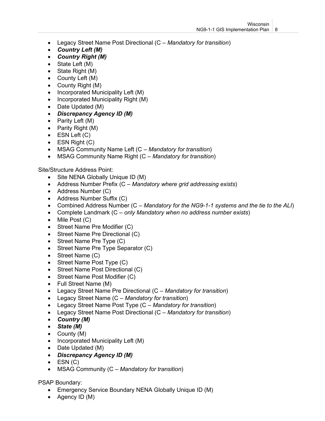- Legacy Street Name Post Directional (C *Mandatory for transition*)
- *Country Left (M)*
- *Country Right (M)*
- State Left (M)
- State Right (M)
- County Left (M)
- County Right (M)
- Incorporated Municipality Left (M)
- Incorporated Municipality Right (M)
- Date Updated (M)
- *Discrepancy Agency ID (M)*
- Parity Left (M)
- Parity Right (M)
- $\bullet$  ESN Left  $(C)$
- ESN Right (C)
- MSAG Community Name Left (C *Mandatory for transition*)
- MSAG Community Name Right (C *Mandatory for transition*)

Site/Structure Address Point:

- Site NENA Globally Unique ID (M)
- Address Number Prefix (C *Mandatory where grid addressing exists*)
- Address Number (C)
- Address Number Suffix (C)
- Combined Address Number (C *Mandatory for the NG9-1-1 systems and the tie to the ALI*)
- Complete Landmark (C *only Mandatory when no address number exists*)
- Mile Post (C)
- Street Name Pre Modifier (C)
- Street Name Pre Directional (C)
- Street Name Pre Type (C)
- Street Name Pre Type Separator (C)
- Street Name (C)
- Street Name Post Type (C)
- Street Name Post Directional (C)
- Street Name Post Modifier (C)
- Full Street Name (M)
- Legacy Street Name Pre Directional (C *Mandatory for transition*)
- Legacy Street Name (C *Mandatory for transition*)
- Legacy Street Name Post Type (C *Mandatory for transition*)
- Legacy Street Name Post Directional (C *Mandatory for transition*)
- *Country (M)*
- *State (M)*
- County (M)
- Incorporated Municipality Left (M)
- Date Updated (M)
- *Discrepancy Agency ID (M)*
- $\bullet$  ESN (C)
- MSAG Community (C *Mandatory for transition*)

#### PSAP Boundary:

- Emergency Service Boundary NENA Globally Unique ID (M)
- Agency ID (M)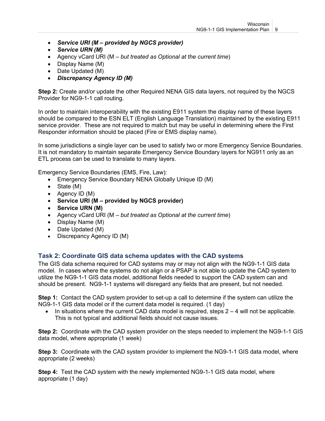- *Service URI (M – provided by NGCS provider)*
- *Service URN (M)*
- Agency vCard URI (M *but treated as Optional at the current time*)
- Display Name (M)
- Date Updated (M)
- *Discrepancy Agency ID (M)*

**Step 2:** Create and/or update the other Required NENA GIS data layers, not required by the NGCS Provider for NG9-1-1 call routing.

In order to maintain interoperability with the existing E911 system the display name of these layers should be compared to the ESN ELT (English Language Translation) maintained by the existing E911 service provider. These are not required to match but may be useful in determining where the First Responder information should be placed (Fire or EMS display name).

In some jurisdictions a single layer can be used to satisfy two or more Emergency Service Boundaries. It is not mandatory to maintain separate Emergency Service Boundary layers for NG911 only as an ETL process can be used to translate to many layers.

Emergency Service Boundaries (EMS, Fire, Law):

- Emergency Service Boundary NENA Globally Unique ID (M)
- State (M)
- Agency ID (M)
- **Service URI (M – provided by NGCS provider)**
- **Service URN (M)**
- Agency vCard URI (M *but treated as Optional at the current time*)
- Display Name (M)
- Date Updated (M)
- Discrepancy Agency ID (M)

#### <span id="page-8-0"></span>**Task 2: Coordinate GIS data schema updates with the CAD systems**

The GIS data schema required for CAD systems may or may not align with the NG9-1-1 GIS data model. In cases where the systems do not align or a PSAP is not able to update the CAD system to utilize the NG9-1-1 GIS data model, additional fields needed to support the CAD system can and should be present. NG9-1-1 systems will disregard any fields that are present, but not needed.

**Step 1:** Contact the CAD system provider to set-up a call to determine if the system can utilize the NG9-1-1 GIS data model or if the current data model is required. (1 day)

 $\bullet$  In situations where the current CAD data model is required, steps  $2 - 4$  will not be applicable. This is not typical and additional fields should not cause issues.

**Step 2:** Coordinate with the CAD system provider on the steps needed to implement the NG9-1-1 GIS data model, where appropriate (1 week)

**Step 3:** Coordinate with the CAD system provider to implement the NG9-1-1 GIS data model, where appropriate (2 weeks)

**Step 4:** Test the CAD system with the newly implemented NG9-1-1 GIS data model, where appropriate (1 day)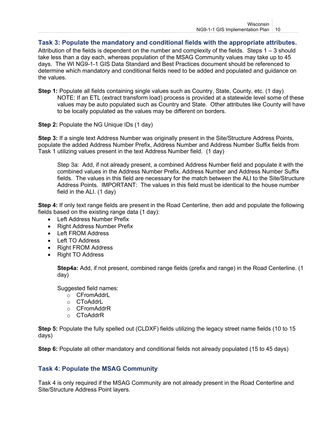#### <span id="page-9-0"></span>**Task 3: Populate the mandatory and conditional fields with the appropriate attributes.**

Attribution of the fields is dependent on the number and complexity of the fields. Steps 1 – 3 should take less than a day each, whereas population of the MSAG Community values may take up to 45 days. The WI NG9-1-1 GIS Data Standard and Best Practices document should be referenced to determine which mandatory and conditional fields need to be added and populated and guidance on the values.

**Step 1:** Populate all fields containing single values such as Country, State, County, etc. (1 day) NOTE: If an ETL (extract transform load) process is provided at a statewide level some of these values may be auto populated such as Country and State. Other attributes like County will have to be locally populated as the values may be different on borders.

**Step 2:** Populate the NG Unique IDs (1 day)

**Step 3:** If a single text Address Number was originally present in the Site/Structure Address Points, populate the added Address Number Prefix, Address Number and Address Number Suffix fields from Task 1 utilizing values present in the text Address Number field. (1 day)

Step 3a: Add, if not already present, a combined Address Number field and populate it with the combined values in the Address Number Prefix, Address Number and Address Number Suffix fields. The values in this field are necessary for the match between the ALI to the Site/Structure Address Points. IMPORTANT: The values in this field must be identical to the house number field in the ALI. (1 day)

**Step 4:** If only text range fields are present in the Road Centerline, then add and populate the following fields based on the existing range data (1 day):

- Left Address Number Prefix
- Right Address Number Prefix
- Left FROM Address
- Left TO Address
- Right FROM Address
- Right TO Address

**Step4a:** Add, if not present, combined range fields (prefix and range) in the Road Centerline. (1 day)

Suggested field names:

- o CFromAddrL
- o CToAddrL
- o CFromAddrR
- o CToAddrR

**Step 5:** Populate the fully spelled out (CLDXF) fields utilizing the legacy street name fields (10 to 15 days)

<span id="page-9-1"></span>**Step 6:** Populate all other mandatory and conditional fields not already populated (15 to 45 days)

#### **Task 4: Populate the MSAG Community**

Task 4 is only required if the MSAG Community are not already present in the Road Centerline and Site/Structure Address Point layers.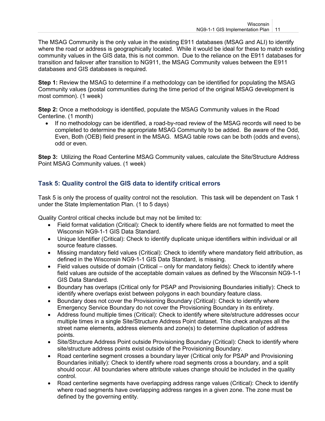The MSAG Community is the only value in the existing E911 databases (MSAG and ALI) to identify where the road or address is geographically located. While it would be ideal for these to match existing community values in the GIS data, this is not common. Due to the reliance on the E911 databases for transition and failover after transition to NG911, the MSAG Community values between the E911 databases and GIS databases is required.

**Step 1:** Review the MSAG to determine if a methodology can be identified for populating the MSAG Community values (postal communities during the time period of the original MSAG development is most common). (1 week)

**Step 2:** Once a methodology is identified, populate the MSAG Community values in the Road Centerline. (1 month)

• If no methodology can be identified, a road-by-road review of the MSAG records will need to be completed to determine the appropriate MSAG Community to be added. Be aware of the Odd, Even, Both (OEB) field present in the MSAG. MSAG table rows can be both (odds and evens), odd or even.

<span id="page-10-0"></span>**Step 3:** Utilizing the Road Centerline MSAG Community values, calculate the Site/Structure Address Point MSAG Community values. (1 week)

### **Task 5: Quality control the GIS data to identify critical errors**

Task 5 is only the process of quality control not the resolution. This task will be dependent on Task 1 under the State Implementation Plan. (1 to 5 days)

Quality Control critical checks include but may not be limited to:

- Field format validation (Critical): Check to identify where fields are not formatted to meet the Wisconsin NG9-1-1 GIS Data Standard.
- Unique Identifier (Critical): Check to identify duplicate unique identifiers within individual or all source feature classes.
- Missing mandatory field values (Critical): Check to identify where mandatory field attribution, as defined in the Wisconsin NG9-1-1 GIS Data Standard, is missing.
- Field values outside of domain (Critical only for mandatory fields): Check to identify where field values are outside of the acceptable domain values as defined by the Wisconsin NG9-1-1 GIS Data Standard.
- Boundary has overlaps (Critical only for PSAP and Provisioning Boundaries initially): Check to identify where overlaps exist between polygons in each boundary feature class.
- Boundary does not cover the Provisioning Boundary (Critical): Check to identify where Emergency Service Boundary do not cover the Provisioning Boundary in its entirety.
- Address found multiple times (Critical): Check to identify where site/structure addresses occur multiple times in a single Site/Structure Address Point dataset. This check analyzes all the street name elements, address elements and zone(s) to determine duplication of address points.
- Site/Structure Address Point outside Provisioning Boundary (Critical): Check to identify where site/structure address points exist outside of the Provisioning Boundary.
- Road centerline segment crosses a boundary layer (Critical only for PSAP and Provisioning Boundaries initially): Check to identify where road segments cross a boundary, and a split should occur. All boundaries where attribute values change should be included in the quality control.
- Road centerline segments have overlapping address range values (Critical): Check to identify where road segments have overlapping address ranges in a given zone. The zone must be defined by the governing entity.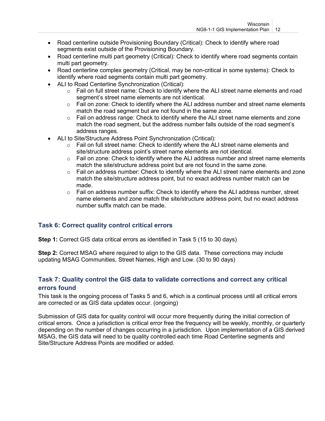- Road centerline outside Provisioning Boundary (Critical): Check to identify where road segments exist outside of the Provisioning Boundary.
- Road centerline multi part geometry (Critical): Check to identify where road segments contain multi part geometry.
- Road centerline complex geometry (Critical, may be non-critical in some systems): Check to identify where road segments contain multi part geometry.
- ALI to Road Centerline Synchronization (Critical):
	- o Fail on full street name: Check to identify where the ALI street name elements and road segment's street name elements are not identical.
	- $\circ$  Fail on zone: Check to identify where the ALI address number and street name elements match the road segment but are not found in the same zone.
	- $\circ$  Fail on address range: Check to identify where the ALI street name elements and zone match the road segment, but the address number falls outside of the road segment's address ranges.
- ALI to Site/Structure Address Point Synchronization (Critical):
	- $\circ$  Fail on full street name: Check to identify where the ALI street name elements and site/structure address point's street name elements are not identical.
	- $\circ$  Fail on zone: Check to identify where the ALI address number and street name elements match the site/structure address point but are not found in the same zone.
	- $\circ$  Fail on address number: Check to identify where the ALI street name elements and zone match the site/structure address point, but no exact address number match can be made.
	- $\circ$  Fail on address number suffix: Check to identify where the ALI address number, street name elements and zone match the site/structure address point, but no exact address number suffix match can be made.

## <span id="page-11-0"></span>**Task 6: Correct quality control critical errors**

**Step 1:** Correct GIS data critical errors as identified in Task 5 (15 to 30 days)

<span id="page-11-1"></span>**Step 2:** Correct MSAG where required to align to the GIS data. These corrections may include updating MSAG Communities, Street Names, High and Low. (30 to 90 days)

### **Task 7: Quality control the GIS data to validate corrections and correct any critical errors found**

This task is the ongoing process of Tasks 5 and 6, which is a continual process until all critical errors are corrected or as GIS data updates occur. (ongoing)

Submission of GIS data for quality control will occur more frequently during the initial correction of critical errors. Once a jurisdiction is critical error free the frequency will be weekly, monthly, or quarterly depending on the number of changes occurring in a jurisdiction. Upon implementation of a GIS derived MSAG, the GIS data will need to be quality controlled each time Road Centerline segments and Site/Structure Address Points are modified or added.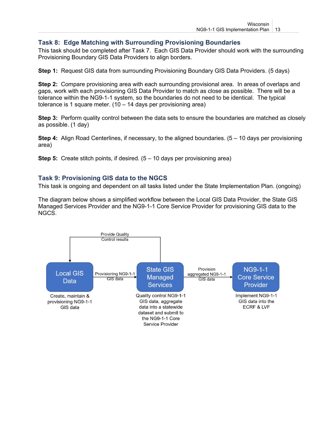#### <span id="page-12-0"></span>**Task 8: Edge Matching with Surrounding Provisioning Boundaries**

This task should be completed after Task 7. Each GIS Data Provider should work with the surrounding Provisioning Boundary GIS Data Providers to align borders.

**Step 1:** Request GIS data from surrounding Provisioning Boundary GIS Data Providers. (5 days)

**Step 2:** Compare provisioning area with each surrounding provisional area. In areas of overlaps and gaps, work with each provisioning GIS Data Provider to match as close as possible. There will be a tolerance within the NG9-1-1 system, so the boundaries do not need to be identical. The typical tolerance is 1 square meter.  $(10 - 14$  days per provisioning area)

**Step 3:** Perform quality control between the data sets to ensure the boundaries are matched as closely as possible. (1 day)

**Step 4:** Align Road Centerlines, if necessary, to the aligned boundaries. (5 – 10 days per provisioning area)

<span id="page-12-1"></span>**Step 5:** Create stitch points, if desired. (5 – 10 days per provisioning area)

#### **Task 9: Provisioning GIS data to the NGCS**

This task is ongoing and dependent on all tasks listed under the State Implementation Plan. (ongoing)

The diagram below shows a simplified workflow between the Local GIS Data Provider, the State GIS Managed Services Provider and the NG9-1-1 Core Service Provider for provisioning GIS data to the NGCS.

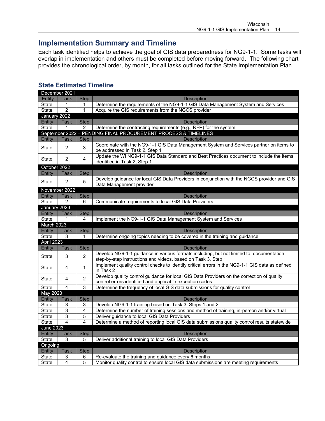# <span id="page-13-0"></span>**Implementation Summary and Timeline**

Each task identified helps to achieve the goal of GIS data preparedness for NG9-1-1. Some tasks will overlap in implementation and others must be completed before moving forward. The following chart provides the chronological order, by month, for all tasks outlined for the State Implementation Plan.

|                   | December 2021    |                |                                                                                                                                                            |  |  |  |
|-------------------|------------------|----------------|------------------------------------------------------------------------------------------------------------------------------------------------------------|--|--|--|
| Entity            | Task             | <b>Step</b>    | <b>Description</b>                                                                                                                                         |  |  |  |
| State             | 1                | 1              | Determine the requirements of the NG9-1-1 GIS Data Management System and Services                                                                          |  |  |  |
| State             | $\overline{2}$   | $\mathbf 1$    | Acquire the GIS requirements from the NGCS provider                                                                                                        |  |  |  |
| January 2022      |                  |                |                                                                                                                                                            |  |  |  |
| Entity            | <b>Task</b>      | <b>Step</b>    | <b>Description</b>                                                                                                                                         |  |  |  |
| State             | 1                | $\overline{2}$ | Determine the contracting requirements (e.g., RFP) for the system                                                                                          |  |  |  |
|                   |                  |                | September 2022 - PENDING FINAL PROCUREMENT PROCESS & TIMELINES                                                                                             |  |  |  |
| Entity            | <b>Task</b>      | <b>Step</b>    | <b>Description</b>                                                                                                                                         |  |  |  |
| State             | 2                | 3              | Coordinate with the NG9-1-1 GIS Data Management System and Services partner on items to<br>be addressed in Task 2, Step 1                                  |  |  |  |
| State             | $\overline{2}$   | 4              | Update the WI NG9-1-1 GIS Data Standard and Best Practices document to include the items<br>identified in Task 2, Step 1                                   |  |  |  |
| October 2022      |                  |                |                                                                                                                                                            |  |  |  |
| Entity            | <b>Task</b>      | <b>Step</b>    | <b>Description</b>                                                                                                                                         |  |  |  |
| <b>State</b>      | $\overline{2}$   | 5              | Develop guidance for local GIS Data Providers in conjunction with the NGCS provider and GIS<br>Data Management provider                                    |  |  |  |
|                   | November 2022    |                |                                                                                                                                                            |  |  |  |
| Entity            | <b>Task</b>      | <b>Step</b>    | <b>Description</b>                                                                                                                                         |  |  |  |
| State             | 2                | 6              | Communicate requirements to local GIS Data Providers                                                                                                       |  |  |  |
| January 2023      |                  |                |                                                                                                                                                            |  |  |  |
| Entity            | Task             | <b>Step</b>    | <b>Description</b>                                                                                                                                         |  |  |  |
| State             | 1                | 4              | Implement the NG9-1-1 GIS Data Management System and Services                                                                                              |  |  |  |
| March 2023        |                  |                |                                                                                                                                                            |  |  |  |
| Entity            | Task             | <b>Step</b>    | <b>Description</b>                                                                                                                                         |  |  |  |
| State             | 3                | 1              | Determine ongoing topics needing to be covered in the training and guidance                                                                                |  |  |  |
| <b>April 2023</b> |                  |                |                                                                                                                                                            |  |  |  |
| Entity            | Task             | <b>Step</b>    | <b>Description</b>                                                                                                                                         |  |  |  |
| State             | 3                | $\overline{2}$ | Develop NG9-1-1 guidance in various formats including, but not limited to, documentation,<br>step-by-step instructions and videos, based on Task 3, Step 1 |  |  |  |
| State             | 4                | $\mathbf{1}$   | Implement quality control checks to identify critical errors in the NG9-1-1 GIS data as defined<br>in Task 2                                               |  |  |  |
| <b>State</b>      | 4                | $\overline{2}$ | Develop quality control guidance for local GIS Data Providers on the correction of quality<br>control errors identified and applicable exception codes     |  |  |  |
| State             | 4                | $\overline{3}$ | Determine the frequency of local GIS data submissions for quality control                                                                                  |  |  |  |
| May 2023          |                  |                |                                                                                                                                                            |  |  |  |
| Entity            | <b>Task</b>      | <b>Step</b>    | <b>Description</b>                                                                                                                                         |  |  |  |
| State             | 3                | 3              | Develop NG9-1-1 training based on Task 3, Steps 1 and 2                                                                                                    |  |  |  |
| State             | 3                | 4              | Determine the number of training sessions and method of training, in-person and/or virtual                                                                 |  |  |  |
| State             | 3                | 5              | Deliver guidance to local GIS Data Providers                                                                                                               |  |  |  |
| State             | 4                | 4              | Determine a method of reporting local GIS data submissions quality control results statewide                                                               |  |  |  |
|                   | <b>June 2023</b> |                |                                                                                                                                                            |  |  |  |
| Entity            | Task             | <b>Step</b>    | <b>Description</b>                                                                                                                                         |  |  |  |
| State             | 3                | 5              | Deliver additional training to local GIS Data Providers                                                                                                    |  |  |  |
| Ongoing           |                  |                |                                                                                                                                                            |  |  |  |
| Entity            | Task             | <b>Step</b>    | <b>Description</b>                                                                                                                                         |  |  |  |
| State             | 3                | 6              | Re-evaluate the training and guidance every 6 months.                                                                                                      |  |  |  |
| <b>State</b>      | 4                | 5              | Monitor quality control to ensure local GIS data submissions are meeting requirements                                                                      |  |  |  |

## <span id="page-13-1"></span>**State Estimated Timeline**